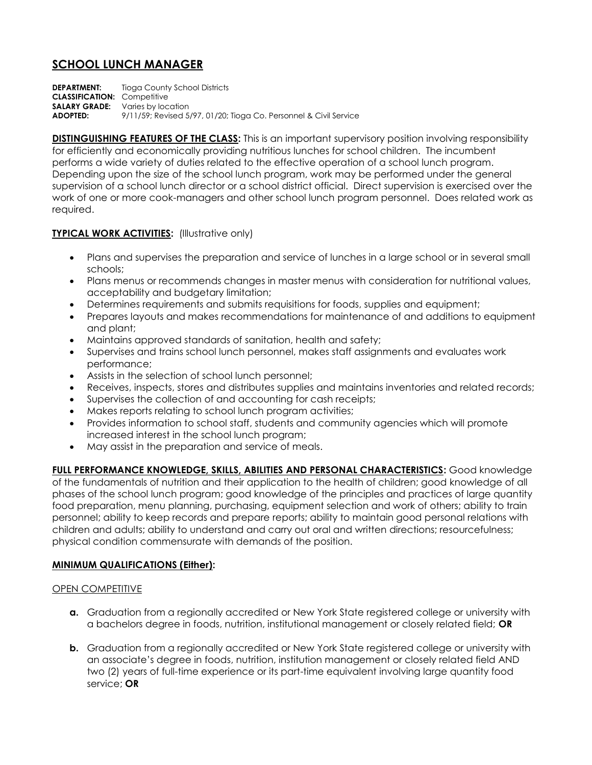# **SCHOOL LUNCH MANAGER**

**DEPARTMENT:** Tioga County School Districts **CLASSIFICATION:** Competitive **SALARY GRADE:** Varies by location **ADOPTED:** 9/11/59; Revised 5/97, 01/20; Tioga Co. Personnel & Civil Service

**DISTINGUISHING FEATURES OF THE CLASS:** This is an important supervisory position involving responsibility for efficiently and economically providing nutritious lunches for school children. The incumbent performs a wide variety of duties related to the effective operation of a school lunch program. Depending upon the size of the school lunch program, work may be performed under the general supervision of a school lunch director or a school district official. Direct supervision is exercised over the work of one or more cook-managers and other school lunch program personnel. Does related work as required.

## **TYPICAL WORK ACTIVITIES:** (Illustrative only)

- Plans and supervises the preparation and service of lunches in a large school or in several small schools;
- Plans menus or recommends changes in master menus with consideration for nutritional values, acceptability and budgetary limitation;
- Determines requirements and submits requisitions for foods, supplies and equipment;
- Prepares layouts and makes recommendations for maintenance of and additions to equipment and plant;
- Maintains approved standards of sanitation, health and safety;
- Supervises and trains school lunch personnel, makes staff assignments and evaluates work performance;
- Assists in the selection of school lunch personnel;
- Receives, inspects, stores and distributes supplies and maintains inventories and related records;
- Supervises the collection of and accounting for cash receipts;
- Makes reports relating to school lunch program activities;
- Provides information to school staff, students and community agencies which will promote increased interest in the school lunch program;
- May assist in the preparation and service of meals.

**FULL PERFORMANCE KNOWLEDGE, SKILLS, ABILITIES AND PERSONAL CHARACTERISTICS:** Good knowledge of the fundamentals of nutrition and their application to the health of children; good knowledge of all phases of the school lunch program; good knowledge of the principles and practices of large quantity food preparation, menu planning, purchasing, equipment selection and work of others; ability to train personnel; ability to keep records and prepare reports; ability to maintain good personal relations with children and adults; ability to understand and carry out oral and written directions; resourcefulness; physical condition commensurate with demands of the position.

#### **MINIMUM QUALIFICATIONS (Either):**

#### **OPEN COMPETITIVE**

- **a.** Graduation from a regionally accredited or New York State registered college or university with a bachelors degree in foods, nutrition, institutional management or closely related field; **OR**
- **b.** Graduation from a regionally accredited or New York State registered college or university with an associate's degree in foods, nutrition, institution management or closely related field AND two (2) years of full-time experience or its part-time equivalent involving large quantity food service; **OR**